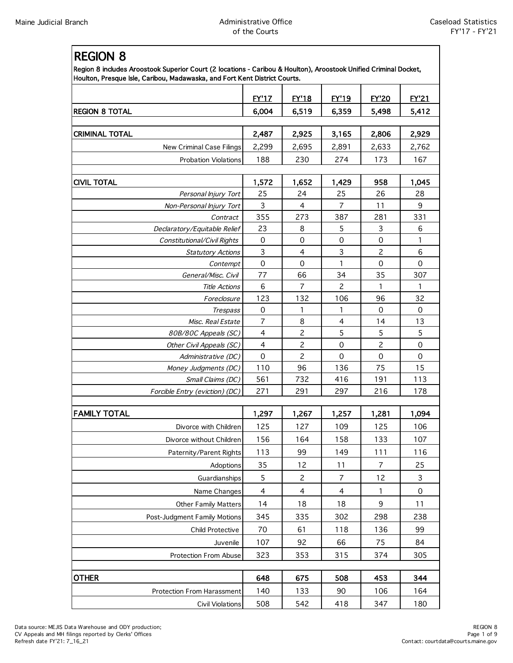$R$ 

| ט וועוטבח<br>Region 8 includes Aroostook Superior Court (2 locations - Caribou & Houlton), Aroostook Unified Criminal Docket,<br>Houlton, Presque Isle, Caribou, Madawaska, and Fort Kent District Courts. |                |                |                |                |              |  |  |
|------------------------------------------------------------------------------------------------------------------------------------------------------------------------------------------------------------|----------------|----------------|----------------|----------------|--------------|--|--|
|                                                                                                                                                                                                            | <b>EY'17</b>   | <b>EY'18</b>   | <b>EY'19</b>   | <b>EY'20</b>   | <b>EY'21</b> |  |  |
| <b>REGION 8 TOTAL</b>                                                                                                                                                                                      | 6,004          | 6,519          | 6,359          | 5,498          | 5,412        |  |  |
|                                                                                                                                                                                                            |                |                |                |                |              |  |  |
| <b>CRIMINAL TOTAL</b>                                                                                                                                                                                      | 2,487          | 2,925          | 3,165          | 2,806          | 2,929        |  |  |
| New Criminal Case Filings                                                                                                                                                                                  | 2,299          | 2,695          | 2,891          | 2,633          | 2,762        |  |  |
| <b>Probation Violations</b>                                                                                                                                                                                | 188            | 230            | 274            | 173            | 167          |  |  |
| <b>CIVIL TOTAL</b>                                                                                                                                                                                         | 1,572          | 1,652          | 1,429          | 958            | 1,045        |  |  |
| Personal Injury Tort                                                                                                                                                                                       | 25             | 24             | 25             | 26             | 28           |  |  |
| Non-Personal Injury Tort                                                                                                                                                                                   | 3              | $\overline{4}$ | 7              | 11             | 9            |  |  |
| Contract                                                                                                                                                                                                   | 355            | 273            | 387            | 281            | 331          |  |  |
| Declaratory/Equitable Relief                                                                                                                                                                               | 23             | 8              | 5              | 3              | 6            |  |  |
| Constitutional/Civil Rights                                                                                                                                                                                | $\mathbf 0$    | $\mathbf 0$    | 0              | $\mathbf 0$    | 1            |  |  |
| <b>Statutory Actions</b>                                                                                                                                                                                   | 3              | $\overline{4}$ | 3              | $\overline{c}$ | 6            |  |  |
| Contempt                                                                                                                                                                                                   | $\mathbf 0$    | $\Omega$       | 1              | $\Omega$       | $\Omega$     |  |  |
| General/Misc. Civil                                                                                                                                                                                        | 77             | 66             | 34             | 35             | 307          |  |  |
| <b>Title Actions</b>                                                                                                                                                                                       | 6              | 7              | $\overline{c}$ | 1              | 1            |  |  |
| Foreclosure                                                                                                                                                                                                | 123            | 132            | 106            | 96             | 32           |  |  |
| <b>Trespass</b>                                                                                                                                                                                            | 0              | 1              | 1              | $\mathbf 0$    | $\mathbf 0$  |  |  |
| Misc. Real Estate                                                                                                                                                                                          | $\overline{7}$ | 8              | 4              | 14             | 13           |  |  |
| 80B/80C Appeals (SC)                                                                                                                                                                                       | 4              | $\overline{c}$ | 5              | 5              | 5            |  |  |
| Other Civil Appeals (SC)                                                                                                                                                                                   | $\overline{4}$ | $\overline{c}$ | $\mathbf 0$    | $\overline{c}$ | $\mathbf 0$  |  |  |
| Administrative (DC)                                                                                                                                                                                        | $\Omega$       | 2              | 0              | 0              | 0            |  |  |
| Money Judgments (DC)                                                                                                                                                                                       | 110            | 96             | 136            | 75             | 15           |  |  |
| Small Claims (DC)                                                                                                                                                                                          | 561            | 732            | 416            | 191            | 113          |  |  |
| Forcible Entry (eviction) (DC)                                                                                                                                                                             | 271            | 291            | 297            | 216            | 178          |  |  |
| <b>FAMILY TOTAL</b>                                                                                                                                                                                        | 1,297          | 1,267          | 1,257          | 1,281          | 1,094        |  |  |
| Divorce with Children                                                                                                                                                                                      | 125            | 127            | 109            | 125            | 106          |  |  |
| Divorce without Children                                                                                                                                                                                   | 156            | 164            | 158            | 133            | 107          |  |  |
| Paternity/Parent Rights                                                                                                                                                                                    | 113            | 99             | 149            | 111            | 116          |  |  |
| Adoptions                                                                                                                                                                                                  | 35             | 12             | 11             | 7              | 25           |  |  |
| Guardianships                                                                                                                                                                                              | 5              | $\overline{c}$ | $\overline{7}$ | 12             | $\mathsf 3$  |  |  |
| Name Changes                                                                                                                                                                                               | $\overline{4}$ | $\overline{4}$ | 4              | 1              | 0            |  |  |
| <b>Other Family Matters</b>                                                                                                                                                                                | 14             | 18             | 18             | 9              | 11           |  |  |
| Post-Judgment Family Motions                                                                                                                                                                               | 345            | 335            | 302            | 298            | 238          |  |  |
| Child Protective                                                                                                                                                                                           | 70             | 61             | 118            | 136            | 99           |  |  |
| Juvenile                                                                                                                                                                                                   | 107            | 92             | 66             | 75             | 84           |  |  |
| <b>Protection From Abuse</b>                                                                                                                                                                               | 323            | 353            | 315            | 374            | 305          |  |  |
|                                                                                                                                                                                                            |                |                |                |                |              |  |  |
| <b>OTHER</b>                                                                                                                                                                                               | 648            | 675            | 508            | 453            | 344          |  |  |
| Protection From Harassment                                                                                                                                                                                 | 140            | 133            | 90             | 106            | 164          |  |  |
| <b>Civil Violations</b>                                                                                                                                                                                    | 508            | 542            | 418            | 347            | 180          |  |  |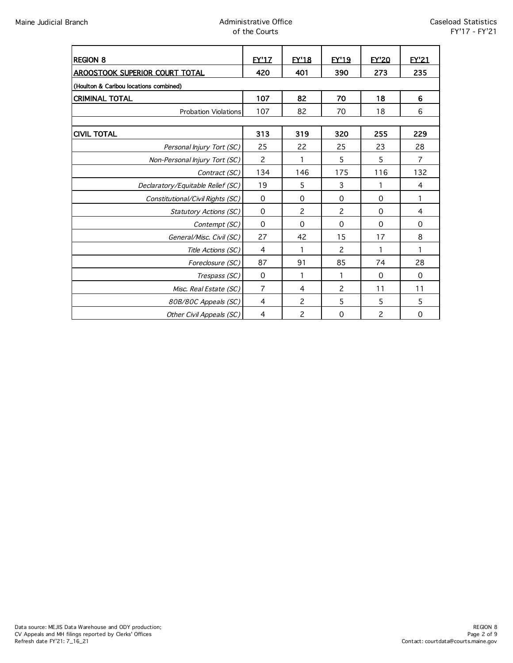| <b>REGION 8</b>                        | <b>EY'17</b>   | <b>EY'18</b>   | <b>EY'19</b>   | <b>EY'20</b>   | EY'21          |  |  |  |
|----------------------------------------|----------------|----------------|----------------|----------------|----------------|--|--|--|
| <b>AROOSTOOK SUPERIOR COURT TOTAL</b>  | 420            | 401            | 390            | 273            | 235            |  |  |  |
| (Houlton & Caribou locations combined) |                |                |                |                |                |  |  |  |
| <b>CRIMINAL TOTAL</b>                  | 107            | 82             | 70             | 18             | 6              |  |  |  |
| <b>Probation Violations</b>            | 107            | 82             | 70             | 18             | 6              |  |  |  |
|                                        |                |                |                |                |                |  |  |  |
| <b>CIVIL TOTAL</b>                     | 313            | 319            | 320            | 255            | 229            |  |  |  |
| Personal Injury Tort (SC)              | 25             | 22             | 25             | 23             | 28             |  |  |  |
| Non-Personal Injury Tort (SC)          | $\overline{c}$ | 1              | 5              | 5              | $\overline{7}$ |  |  |  |
| Contract (SC)                          | 134            | 146            | 175            | 116            | 132            |  |  |  |
| Declaratory/Equitable Relief (SC)      | 19             | 5              | 3              | 1              | 4              |  |  |  |
| Constitutional/Civil Rights (SC)       | $\mathbf 0$    | $\Omega$       | $\Omega$       | $\Omega$       | 1              |  |  |  |
| <b>Statutory Actions (SC)</b>          | $\Omega$       | $\overline{c}$ | 2              | $\Omega$       | $\overline{4}$ |  |  |  |
| Contempt (SC)                          | $\Omega$       | $\Omega$       | $\Omega$       | $\Omega$       | 0              |  |  |  |
| General/Misc. Civil (SC)               | 27             | 42             | 15             | 17             | 8              |  |  |  |
| Title Actions (SC)                     | 4              | 1              | $\overline{c}$ | 1              | 1              |  |  |  |
| Foreclosure (SC)                       | 87             | 91             | 85             | 74             | 28             |  |  |  |
| Trespass (SC)                          | $\mathbf 0$    | 1              | 1              | $\Omega$       | $\Omega$       |  |  |  |
| Misc. Real Estate (SC)                 | $\overline{7}$ | 4              | $\overline{c}$ | 11             | 11             |  |  |  |
| 80B/80C Appeals (SC)                   | 4              | 2              | 5              | 5              | 5              |  |  |  |
| Other Civil Appeals (SC)               | 4              | 2              | $\Omega$       | $\overline{c}$ | $\Omega$       |  |  |  |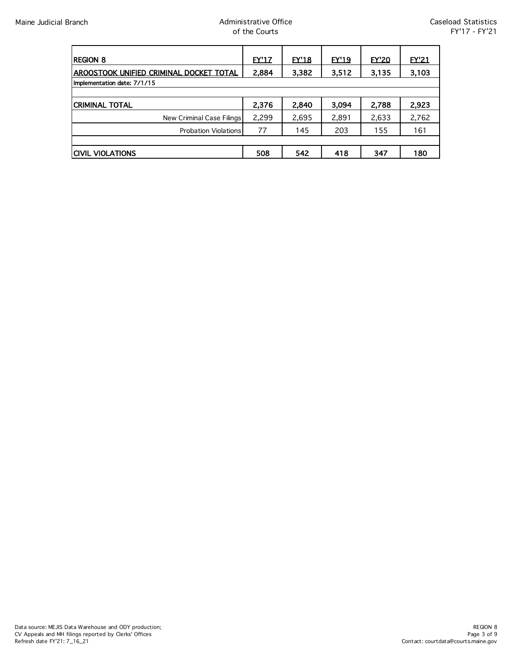| <b>REGION 8</b>                         | EY'17 | EY'18 | <b>EY'19</b> | EY'20 | EY'21 |  |  |
|-----------------------------------------|-------|-------|--------------|-------|-------|--|--|
| AROOSTOOK UNIFIED CRIMINAL DOCKET TOTAL | 2,884 | 3,382 | 3,512        | 3,135 | 3,103 |  |  |
| Implementation date: 7/1/15             |       |       |              |       |       |  |  |
|                                         |       |       |              |       |       |  |  |
| <b>CRIMINAL TOTAL</b>                   | 2,376 | 2,840 | 3,094        | 2,788 | 2,923 |  |  |
| New Criminal Case Filings               | 2,299 | 2,695 | 2,891        | 2,633 | 2,762 |  |  |
| <b>Probation Violations</b>             | 77    | 145   | 203          | 155   | 161   |  |  |
|                                         |       |       |              |       |       |  |  |
| <b>CIVIL VIOLATIONS</b>                 | 508   | 542   | 418          | 347   | 180   |  |  |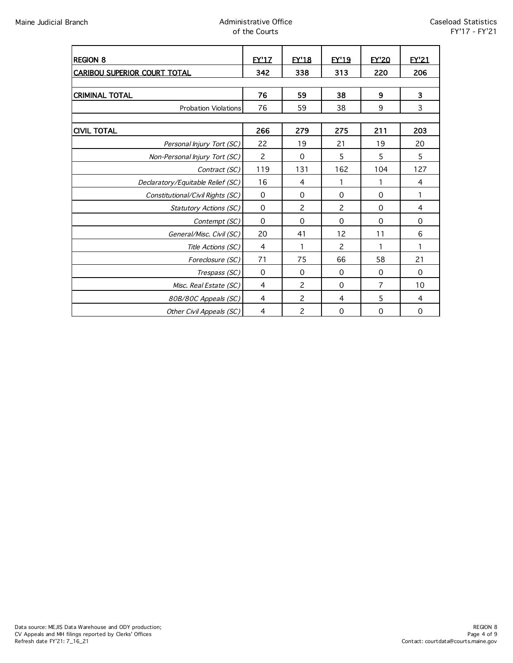| <b>REGION 8</b>                     | <b>FY'17</b>   | <b>EY'18</b>   | <b>EY'19</b>   | <b>EY'20</b>   | <b>FY'21</b> |  |  |  |
|-------------------------------------|----------------|----------------|----------------|----------------|--------------|--|--|--|
| <b>CARIBOU SUPERIOR COURT TOTAL</b> | 342            | 338            | 313            | 220            | 206          |  |  |  |
|                                     |                |                |                |                |              |  |  |  |
| <b>CRIMINAL TOTAL</b>               | 76             | 59             | 38             | 9              | 3            |  |  |  |
| <b>Probation Violations</b>         | 76             | 59             | 38             | 9              | 3            |  |  |  |
|                                     |                |                |                |                |              |  |  |  |
| <b>CIVIL TOTAL</b>                  | 266            | 279            | 275            | 211            | 203          |  |  |  |
| Personal Injury Tort (SC)           | 22             | 19             | 21             | 19             | 20           |  |  |  |
| Non-Personal Injury Tort (SC)       | $\overline{c}$ | $\Omega$       | 5              | 5              | 5            |  |  |  |
| Contract (SC)                       | 119            | 131            | 162            | 104            | 127          |  |  |  |
| Declaratory/Equitable Relief (SC)   | 16             | 4              | 1              | 1              | 4            |  |  |  |
| Constitutional/Civil Rights (SC)    | $\Omega$       | $\Omega$       | $\Omega$       | $\Omega$       | 1            |  |  |  |
| Statutory Actions (SC)              | $\Omega$       | $\overline{c}$ | $\overline{c}$ | $\Omega$       | 4            |  |  |  |
| Contempt (SC)                       | $\mathbf 0$    | $\Omega$       | $\Omega$       | $\Omega$       | 0            |  |  |  |
| General/Misc. Civil (SC)            | 20             | 41             | 12             | 11             | 6            |  |  |  |
| Title Actions (SC)                  | 4              |                | $\overline{c}$ |                |              |  |  |  |
| Foreclosure (SC)                    | 71             | 75             | 66             | 58             | 21           |  |  |  |
| Trespass (SC)                       | $\Omega$       | $\Omega$       | $\Omega$       | $\Omega$       | $\Omega$     |  |  |  |
| Misc. Real Estate (SC)              | 4              | $\overline{c}$ | $\Omega$       | $\overline{7}$ | 10           |  |  |  |
| 80B/80C Appeals (SC)                | 4              | 2              | 4              | 5              | 4            |  |  |  |
| Other Civil Appeals (SC)            | 4              | $\overline{c}$ | $\mathbf 0$    | $\mathbf 0$    | $\mathbf 0$  |  |  |  |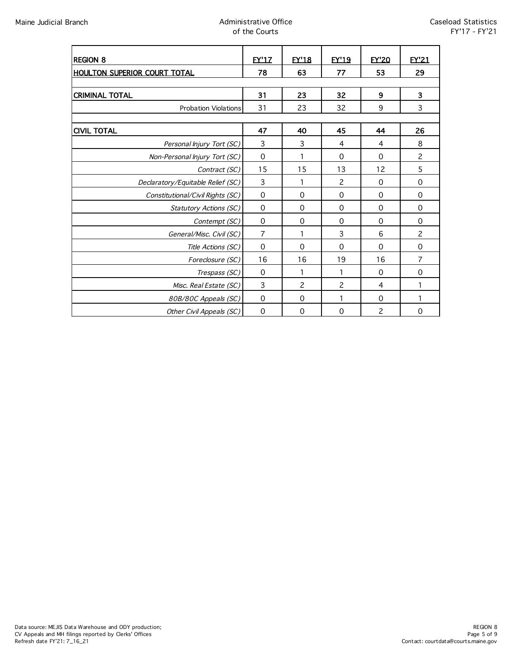| <b>REGION 8</b>                     | <b>FY'17</b> | <b>EY'18</b>   | <b>EY'19</b>   | <b>FY'20</b>   | <b>FY'21</b>   |  |  |  |
|-------------------------------------|--------------|----------------|----------------|----------------|----------------|--|--|--|
| <b>HOULTON SUPERIOR COURT TOTAL</b> | 78           | 63             | 77             | 53             | 29             |  |  |  |
|                                     |              |                |                |                |                |  |  |  |
| <b>CRIMINAL TOTAL</b>               | 31           | 23             | 32             | 9              | 3              |  |  |  |
| <b>Probation Violations</b>         | 31           | 23             | 32             | 9              | 3              |  |  |  |
|                                     |              |                |                |                |                |  |  |  |
| <b>CIVIL TOTAL</b>                  | 47           | 40             | 45             | 44             | 26             |  |  |  |
| Personal Injury Tort (SC)           | 3            | 3              | 4              | 4              | 8              |  |  |  |
| Non-Personal Injury Tort (SC)       | $\mathbf 0$  | 1              | $\Omega$       | $\Omega$       | $\overline{c}$ |  |  |  |
| Contract (SC)                       | 15           | 15             | 13             | 12             | 5              |  |  |  |
| Declaratory/Equitable Relief (SC)   | 3            | 1              | $\overline{c}$ | $\Omega$       | $\mathbf 0$    |  |  |  |
| Constitutional/Civil Rights (SC)    | $\mathbf 0$  | $\Omega$       | $\Omega$       | $\Omega$       | $\Omega$       |  |  |  |
| Statutory Actions (SC)              | $\Omega$     | $\Omega$       | $\Omega$       | $\Omega$       | $\Omega$       |  |  |  |
| Contempt (SC)                       | 0            | 0              | 0              | $\Omega$       | 0              |  |  |  |
| General/Misc. Civil (SC)            | 7            |                | 3              | 6              | $\overline{c}$ |  |  |  |
| Title Actions (SC)                  | 0            | $\Omega$       | $\Omega$       | $\Omega$       | $\Omega$       |  |  |  |
| Foreclosure (SC)                    | 16           | 16             | 19             | 16             | 7              |  |  |  |
| Trespass (SC)                       | $\Omega$     | 1              |                | $\Omega$       | $\Omega$       |  |  |  |
| Misc. Real Estate (SC)              | 3            | $\overline{c}$ | $\overline{c}$ | 4              |                |  |  |  |
| 80B/80C Appeals (SC)                | $\mathbf 0$  | $\Omega$       |                | $\Omega$       |                |  |  |  |
| Other Civil Appeals (SC)            | $\mathbf 0$  | $\mathbf 0$    | $\mathbf 0$    | $\overline{c}$ | $\mathbf 0$    |  |  |  |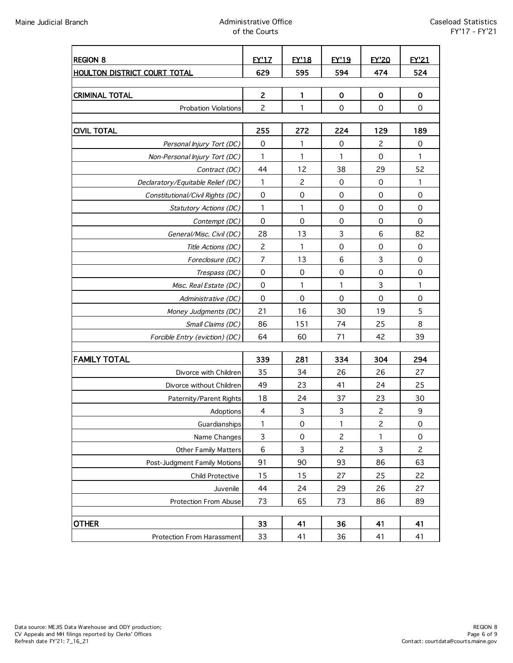| <b>REGION 8</b>                                | <b>EY'17</b>             | <b>FY'18</b>        | <b>EY'19</b>   | <b>EY'20</b>   | <b>EY'21</b>        |
|------------------------------------------------|--------------------------|---------------------|----------------|----------------|---------------------|
| <b>HOULTON DISTRICT COURT TOTAL</b>            | 629                      | 595                 | 594            | 474            | 524                 |
|                                                |                          |                     |                |                |                     |
| <b>CRIMINAL TOTAL</b>                          | $\overline{c}$           | 1                   | 0              | 0              | $\mathbf 0$         |
| <b>Probation Violations</b>                    | $\mathbf{2}$             | $\mathbf{1}$        | $\mathbf 0$    | $\mathbf 0$    | $\mathbf 0$         |
|                                                |                          |                     | 224            |                | 189                 |
| <b>CIVIL TOTAL</b>                             | 255<br>$\mathbf 0$       | 272<br>1            | $\mathbf 0$    | 129<br>2       | $\mathbf 0$         |
| Personal Injury Tort (DC)                      | 1                        | 1                   | 1              | 0              | 1                   |
| Non-Personal Injury Tort (DC)                  | 44                       | 12                  | 38             | 29             | 52                  |
| Contract (DC)                                  | $\mathbf{1}$             | $\overline{c}$      | $\mathbf 0$    | $\mathbf 0$    | 1                   |
| Declaratory/Equitable Relief (DC)              | $\mathbf 0$              | 0                   | $\mathbf 0$    | $\mathbf 0$    | $\mathbf 0$         |
| Constitutional/Civil Rights (DC)               | 1                        | 1                   | 0              | 0              | $\mathbf 0$         |
| Statutory Actions (DC)                         | $\mathbf 0$              | $\mathbf 0$         | $\mathbf 0$    | $\mathbf 0$    | $\mathbf 0$         |
| Contempt (DC)                                  | 28                       | 13                  | 3              | 6              | 82                  |
| General/Misc. Civil (DC)<br>Title Actions (DC) | $\overline{c}$           | 1                   | $\mathbf 0$    | 0              | $\mathsf{O}\xspace$ |
| Foreclosure (DC)                               | $\overline{7}$           | 13                  | 6              | 3              | $\mathbf 0$         |
| Trespass (DC)                                  | $\mathbf 0$              | $\mathbf 0$         | $\mathbf 0$    | 0              | $\mathbf 0$         |
| Misc. Real Estate (DC)                         | $\mathbf 0$              | $\mathbf{1}$        | 1              | 3              | 1                   |
| Administrative (DC)                            | $\mathbf 0$              | 0                   | $\mathbf 0$    | 0              | $\mathsf{O}\xspace$ |
| Money Judgments (DC)                           | 21                       | 16                  | 30             | 19             | 5                   |
| Small Claims (DC)                              | 86                       | 151                 | 74             | 25             | 8                   |
| Forcible Entry (eviction) (DC)                 | 64                       | 60                  | 71             | 42             | 39                  |
|                                                |                          |                     |                |                |                     |
| <b>FAMILY TOTAL</b>                            | 339                      | 281                 | 334            | 304            | 294                 |
| Divorce with Children                          | 35                       | 34                  | 26             | 26             | 27                  |
| Divorce without Children                       | 49                       | 23                  | 41             | 24             | 25                  |
| Paternity/Parent Rights                        | 18                       | 24                  | 37             | 23             | 30                  |
| Adoptions                                      | $\overline{\mathcal{A}}$ | $\mathsf{3}$        | $\mathsf 3$    | $\overline{c}$ | 9                   |
| Guardianships                                  | 1                        | 0                   | 1              | 2              | 0                   |
| Name Changes                                   | 3                        | $\mathsf{O}\xspace$ | $\overline{c}$ | 1              | $\mathsf{O}\xspace$ |
| <b>Other Family Matters</b>                    | 6                        | 3                   | $\overline{c}$ | 3              | $\overline{c}$      |
| Post-Judgment Family Motions                   | 91                       | 90                  | 93             | 86             | 63                  |
| Child Protective                               | 15                       | 15                  | 27             | 25             | 22                  |
| Juvenile                                       | 44                       | 24                  | 29             | 26             | 27                  |
| Protection From Abuse                          | 73                       | 65                  | 73             | 86             | 89                  |
|                                                |                          |                     |                |                |                     |
| <b>OTHER</b>                                   | 33                       | 41                  | 36             | 41             | 41                  |
| Protection From Harassment                     | 33                       | 41                  | 36             | 41             | 41                  |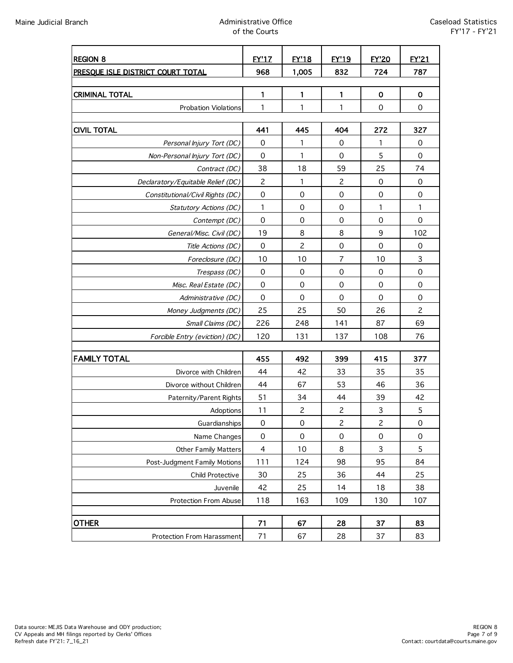| <b>REGION 8</b>                   | <b>EY'1Z</b>            | <b>EY'18</b>        | <b>EY'19</b>   | <b>FY'20</b>              | <b>EY'21</b>   |
|-----------------------------------|-------------------------|---------------------|----------------|---------------------------|----------------|
| PRESOUE ISLE DISTRICT COURT TOTAL | 968                     | 1,005               | 832            | 724                       | 787            |
|                                   |                         |                     |                |                           |                |
| <b>CRIMINAL TOTAL</b>             | 1                       | 1                   | 1              | $\mathbf 0$               | $\mathbf 0$    |
| Probation Violations              | 1                       | 1                   | 1              | $\mathbf 0$               | $\mathbf 0$    |
|                                   |                         |                     |                |                           |                |
| <b>CIVIL TOTAL</b>                | 441                     | 445                 | 404            | 272                       | 327            |
| Personal Injury Tort (DC)         | 0                       | 1                   | 0              | 1                         | $\mathbf 0$    |
| Non-Personal Injury Tort (DC)     | $\mathbf 0$             | 1                   | $\mathbf 0$    | 5                         | $\mathbf 0$    |
| Contract (DC)                     | 38                      | 18                  | 59             | 25                        | 74             |
| Declaratory/Equitable Relief (DC) | $\overline{c}$          | 1                   | $\overline{c}$ | $\mathbf 0$               | $\mathbf 0$    |
| Constitutional/Civil Rights (DC)  | $\mathbf 0$             | 0                   | $\mathbf 0$    | $\mathbf 0$               | $\mathbf 0$    |
| Statutory Actions (DC)            | 1                       | $\mathbf 0$         | $\mathbf 0$    | 1                         | 1              |
| Contempt (DC)                     | $\mathbf 0$             | $\mathbf 0$         | $\mathbf 0$    | $\mathbf 0$               | $\mathbf 0$    |
| General/Misc. Civil (DC)          | 19                      | 8                   | 8              | 9                         | 102            |
| Title Actions (DC)                | $\mathbf 0$             | $\mathbf{2}$        | $\mathbf 0$    | $\mathbf 0$               | $\mathbf 0$    |
| Foreclosure (DC)                  | 10                      | 10                  | $\overline{7}$ | 10                        | 3              |
| Trespass (DC)                     | $\mathbf 0$             | $\mathbf 0$         | $\mathbf 0$    | $\mathbf 0$               | $\mathbf 0$    |
| Misc. Real Estate (DC)            | $\mathbf 0$             | $\mathbf 0$         | $\mathbf 0$    | $\mathbf 0$               | $\mathbf 0$    |
| Administrative (DC)               | $\mathbf 0$             | $\mathbf 0$         | $\mathbf 0$    | $\mathbf 0$               | $\mathbf 0$    |
| Money Judgments (DC)              | 25                      | 25                  | 50             | 26                        | $\overline{c}$ |
| Small Claims (DC)                 | 226                     | 248                 | 141            | 87                        | 69             |
| Forcible Entry (eviction) (DC)    | 120                     | 131                 | 137            | 108                       | 76             |
|                                   |                         |                     |                |                           |                |
| <b>FAMILY TOTAL</b>               | 455                     | 492                 | 399            | 415                       | 377            |
| Divorce with Children             | 44                      | 42                  | 33             | 35                        | 35             |
| Divorce without Children          | 44                      | 67                  | 53             | 46                        | 36             |
| Paternity/Parent Rights           | 51                      | 34                  | 44             | 39                        | 42             |
| Adoptions                         | 11                      | $\overline{c}$      | $\overline{c}$ | $\ensuremath{\mathsf{3}}$ | $\mathsf S$    |
| Guardianships                     | 0                       | $\mathsf{O}\xspace$ | $\mathbf{Z}$   | $\mathsf{S}$              | 0              |
| Name Changes                      | $\mathsf{O}\xspace$     | $\mbox{O}$          | $\mathbf 0$    | $\mathbf 0$               | $\mathbf 0$    |
| Other Family Matters              | $\overline{\mathbf{4}}$ | 10                  | 8              | 3                         | 5              |
| Post-Judgment Family Motions      | 111                     | 124                 | 98             | 95                        | 84             |
| Child Protective                  | 30                      | 25                  | 36             | 44                        | 25             |
| Juvenile                          | 42                      | 25                  | 14             | 18                        | 38             |
| Protection From Abuse             | 118                     | 163                 | 109            | 130                       | 107            |
|                                   |                         |                     |                |                           |                |
| <b>OTHER</b>                      | 71                      | 67                  | 28             | 37                        | 83             |
| Protection From Harassment        | 71                      | 67                  | 28             | 37                        | 83             |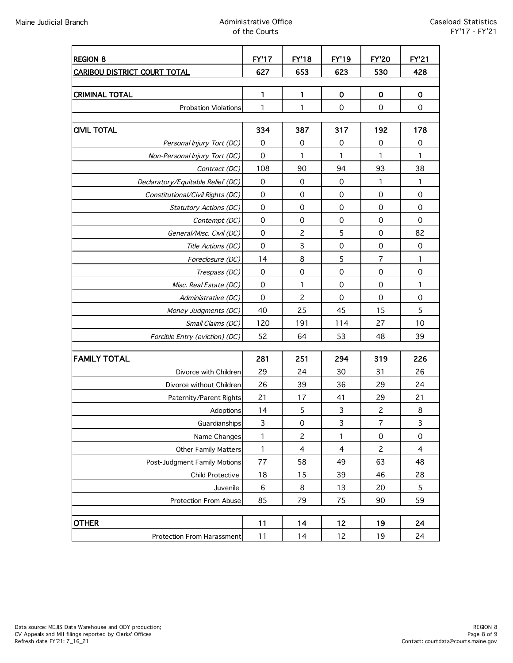| <b>REGION 8</b>                     | <b>FY'17</b> | <b>FY'18</b>             | <b>FY'19</b>   | <b>FY'20</b>        | <b>FY'21</b>        |
|-------------------------------------|--------------|--------------------------|----------------|---------------------|---------------------|
| <b>CARIBOU DISTRICT COURT TOTAL</b> | 627          | 653                      | 623            | 530                 | 428                 |
|                                     |              |                          |                |                     |                     |
| <b>CRIMINAL TOTAL</b>               | 1            | 1                        | $\mathbf 0$    | $\mathbf 0$         | $\mathbf 0$         |
| <b>Probation Violations</b>         | 1            | 1                        | $\mathbf 0$    | $\mathbf 0$         | $\mathbf 0$         |
|                                     |              |                          |                |                     |                     |
| <b>CIVIL TOTAL</b>                  | 334          | 387                      | 317            | 192                 | 178                 |
| Personal Injury Tort (DC)           | 0            | 0                        | 0              | 0                   | 0                   |
| Non-Personal Injury Tort (DC)       | $\mathbf 0$  | 1                        | 1              | 1                   | 1                   |
| Contract (DC)                       | 108          | 90                       | 94             | 93                  | 38                  |
| Declaratory/Equitable Relief (DC)   | $\mathbf 0$  | 0                        | $\mathbf 0$    | 1                   | 1                   |
| Constitutional/Civil Rights (DC)    | $\mathbf 0$  | $\mathbf 0$              | $\mathbf 0$    | $\mathbf 0$         | $\mathbf 0$         |
| Statutory Actions (DC)              | $\mathbf 0$  | $\mathbf 0$              | $\mathbf 0$    | $\mathbf 0$         | $\mathbf 0$         |
| Contempt (DC)                       | $\mathbf 0$  | $\mathbf 0$              | $\mathbf 0$    | $\mathbf 0$         | $\mathbf 0$         |
| General/Misc. Civil (DC)            | 0            | $\overline{c}$           | 5              | 0                   | 82                  |
| Title Actions (DC)                  | $\mathbf 0$  | 3                        | $\mathbf 0$    | $\mathsf{O}\xspace$ | $\mathbf 0$         |
| Foreclosure (DC)                    | 14           | 8                        | 5              | $\overline{7}$      | 1                   |
| Trespass (DC)                       | 0            | $\mathsf{O}\xspace$      | $\mathbf 0$    | $\mathbf 0$         | $\mathbf 0$         |
| Misc. Real Estate (DC)              | $\mathbf 0$  | 1                        | $\mathbf 0$    | $\mathbf 0$         | 1                   |
| Administrative (DC)                 | $\mathbf 0$  | $\overline{c}$           | $\mathbf 0$    | $\mathbf 0$         | $\mathbf 0$         |
| Money Judgments (DC)                | 40           | 25                       | 45             | 15                  | 5                   |
| Small Claims (DC)                   | 120          | 191                      | 114            | 27                  | 10                  |
| Forcible Entry (eviction) (DC)      | 52           | 64                       | 53             | 48                  | 39                  |
|                                     |              |                          |                |                     |                     |
| <b>FAMILY TOTAL</b>                 | 281          | 251                      | 294            | 319                 | 226                 |
| Divorce with Children               | 29           | 24                       | 30             | 31                  | 26                  |
| Divorce without Children            | 26           | 39                       | 36             | 29                  | 24                  |
| Paternity/Parent Rights             | 21           | 17                       | 41             | 29                  | 21                  |
| Adoptions                           | 14           | 5                        | 3              | $\overline{c}$      | 8                   |
| Guardianships                       | 3            | 0                        | 3              | 7                   | 3                   |
| Name Changes                        | 1            | $\overline{c}$           | 1              | $\mathbf 0$         | $\mathsf{O}\xspace$ |
| Other Family Matters                | 1            | $\overline{\mathcal{A}}$ | $\overline{4}$ | $\overline{c}$      | $\overline{4}$      |
| Post-Judgment Family Motions        | 77           | 58                       | 49             | 63                  | 48                  |
| Child Protective                    | 18           | 15                       | 39             | 46                  | 28                  |
| Juvenile                            | $\,6$        | 8                        | 13             | 20                  | $\mathsf S$         |
| Protection From Abuse               | 85           | 79                       | 75             | 90                  | 59                  |
|                                     |              |                          |                |                     |                     |
| <b>OTHER</b>                        | 11           | 14                       | 12             | 19                  | 24                  |
| Protection From Harassment          | 11           | 14                       | 12             | 19                  | 24                  |